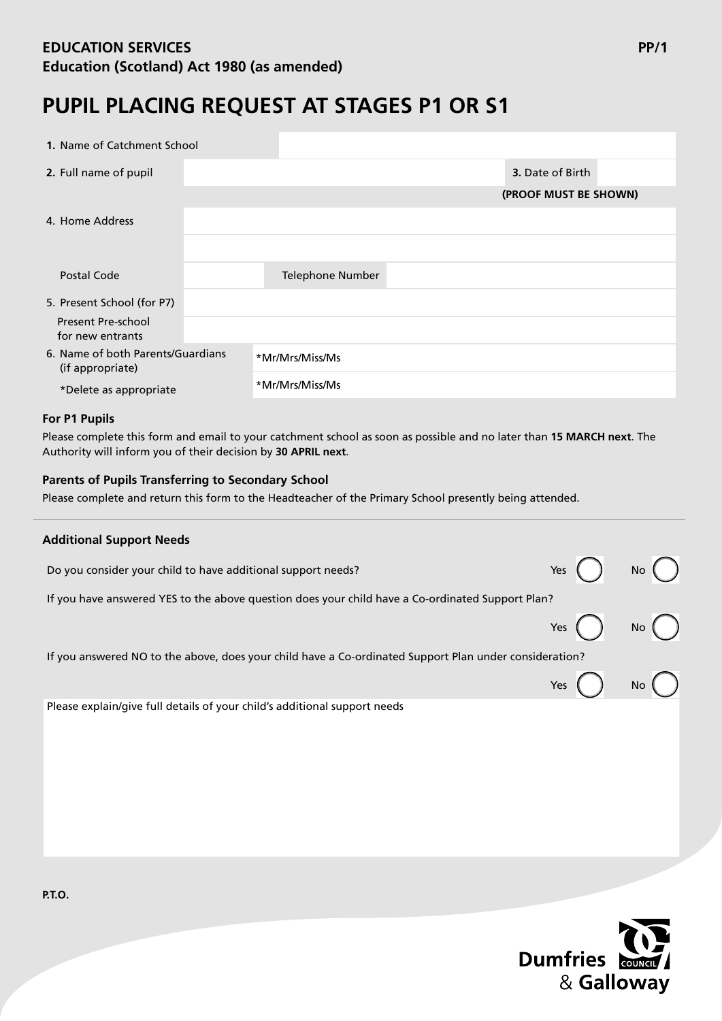# **EDUCATION SERVICES PP/1 Education (Scotland) Act 1980 (as amended)**

# **PUPIL PLACING REQUEST AT STAGES P1 OR S1**

| 1. Name of Catchment School                           |                       |
|-------------------------------------------------------|-----------------------|
| 2. Full name of pupil                                 | 3. Date of Birth      |
|                                                       | (PROOF MUST BE SHOWN) |
| 4. Home Address                                       |                       |
|                                                       |                       |
| Postal Code                                           | Telephone Number      |
| 5. Present School (for P7)                            |                       |
| <b>Present Pre-school</b><br>for new entrants         |                       |
| 6. Name of both Parents/Guardians<br>(if appropriate) | *Mr/Mrs/Miss/Ms       |
| *Delete as appropriate                                | *Mr/Mrs/Miss/Ms       |

## **For P1 Pupils**

Please complete this form and email to your catchment school as soon as possible and no later than **15 MARCH next**. The Authority will inform you of their decision by **30 APRIL next**.

## **Parents of Pupils Transferring to Secondary School**

Please complete and return this form to the Headteacher of the Primary School presently being attended.

| <b>Additional Support Needs</b>                                                                        |                            |  |
|--------------------------------------------------------------------------------------------------------|----------------------------|--|
| Do you consider your child to have additional support needs?                                           | Yes $\bigcap$ No $\bigcap$ |  |
| If you have answered YES to the above question does your child have a Co-ordinated Support Plan?       |                            |  |
|                                                                                                        | Yes $\bigcap$ No $\bigcap$ |  |
| If you answered NO to the above, does your child have a Co-ordinated Support Plan under consideration? |                            |  |
|                                                                                                        | Yes $\bigcap$ No $\bigcap$ |  |
| Please explain/give full details of your child's additional support needs                              |                            |  |
|                                                                                                        |                            |  |



**P.T.O.**